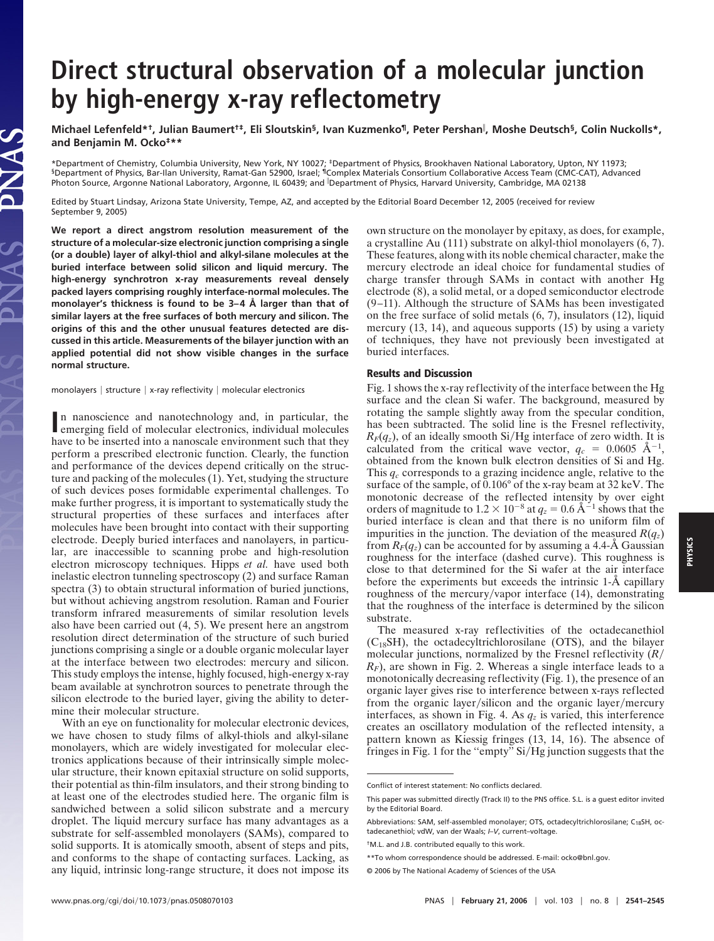## **Direct structural observation of a molecular junction by high-energy x-ray reflectometry**

**Michael Lefenfeld\*†, Julian Baumert†‡, Eli Sloutskin§, Ivan Kuzmenko¶, Peter Pershan , Moshe Deutsch§, Colin Nuckolls\*, and Benjamin M. Ocko‡\*\***

\*Department of Chemistry, Columbia University, New York, NY 10027; ‡Department of Physics, Brookhaven National Laboratory, Upton, NY 11973; §Department of Physics, Bar-Ilan University, Ramat-Gan 52900, Israel; ¶Complex Materials Consortium Collaborative Access Team (CMC-CAT), Advanced Photon Source, Argonne National Laboratory, Argonne, IL 60439; and Department of Physics, Harvard University, Cambridge, MA 02138

Edited by Stuart Lindsay, Arizona State University, Tempe, AZ, and accepted by the Editorial Board December 12, 2005 (received for review September 9, 2005)

**We report a direct angstrom resolution measurement of the structure of a molecular-size electronic junction comprising a single (or a double) layer of alkyl-thiol and alkyl-silane molecules at the buried interface between solid silicon and liquid mercury. The high-energy synchrotron x-ray measurements reveal densely packed layers comprising roughly interface-normal molecules. The monolayer's thickness is found to be 3– 4 Å larger than that of similar layers at the free surfaces of both mercury and silicon. The origins of this and the other unusual features detected are discussed in this article. Measurements of the bilayer junction with an applied potential did not show visible changes in the surface normal structure.**

monolayers | structure | x-ray reflectivity | molecular electronics

IAS

In nanoscience and nanotechnology and, in particular, the emerging field of molecular electronics, individual molecules emerging field of molecular electronics, individual molecules have to be inserted into a nanoscale environment such that they perform a prescribed electronic function. Clearly, the function and performance of the devices depend critically on the structure and packing of the molecules (1). Yet, studying the structure of such devices poses formidable experimental challenges. To make further progress, it is important to systematically study the structural properties of these surfaces and interfaces after molecules have been brought into contact with their supporting electrode. Deeply buried interfaces and nanolayers, in particular, are inaccessible to scanning probe and high-resolution electron microscopy techniques. Hipps *et al.* have used both inelastic electron tunneling spectroscopy (2) and surface Raman spectra (3) to obtain structural information of buried junctions, but without achieving angstrom resolution. Raman and Fourier transform infrared measurements of similar resolution levels also have been carried out (4, 5). We present here an angstrom resolution direct determination of the structure of such buried junctions comprising a single or a double organic molecular layer at the interface between two electrodes: mercury and silicon. This study employs the intense, highly focused, high-energy x-ray beam available at synchrotron sources to penetrate through the silicon electrode to the buried layer, giving the ability to determine their molecular structure.

With an eye on functionality for molecular electronic devices, we have chosen to study films of alkyl-thiols and alkyl-silane monolayers, which are widely investigated for molecular electronics applications because of their intrinsically simple molecular structure, their known epitaxial structure on solid supports, their potential as thin-film insulators, and their strong binding to at least one of the electrodes studied here. The organic film is sandwiched between a solid silicon substrate and a mercury droplet. The liquid mercury surface has many advantages as a substrate for self-assembled monolayers (SAMs), compared to solid supports. It is atomically smooth, absent of steps and pits, and conforms to the shape of contacting surfaces. Lacking, as any liquid, intrinsic long-range structure, it does not impose its

own structure on the monolayer by epitaxy, as does, for example, a crystalline Au (111) substrate on alkyl-thiol monolayers (6, 7). These features, along with its noble chemical character, make the mercury electrode an ideal choice for fundamental studies of charge transfer through SAMs in contact with another Hg electrode (8), a solid metal, or a doped semiconductor electrode (9–11). Although the structure of SAMs has been investigated on the free surface of solid metals (6, 7), insulators (12), liquid mercury (13, 14), and aqueous supports (15) by using a variety of techniques, they have not previously been investigated at buried interfaces.

## **Results and Discussion**

Fig. 1 shows the x-ray reflectivity of the interface between the Hg surface and the clean Si wafer. The background, measured by rotating the sample slightly away from the specular condition, has been subtracted. The solid line is the Fresnel reflectivity,  $R_F(q_z)$ , of an ideally smooth Si/Hg interface of zero width. It is calculated from the critical wave vector,  $q_c = 0.0605 \text{ \AA}^{-1}$ , obtained from the known bulk electron densities of Si and Hg. This *qc* corresponds to a grazing incidence angle, relative to the surface of the sample, of 0.106° of the x-ray beam at 32 keV. The monotonic decrease of the reflected intensity by over eight orders of magnitude to  $1.2 \times 10^{-8}$  at  $q_z = 0.6 \text{ Å}^{-1}$  shows that the buried interface is clean and that there is no uniform film of impurities in the junction. The deviation of the measured  $R(q_z)$ from  $R_F(q_z)$  can be accounted for by assuming a 4.4- $\AA$  Gaussian roughness for the interface (dashed curve). This roughness is close to that determined for the Si wafer at the air interface before the experiments but exceeds the intrinsic 1-Å capillary roughness of the mercury/vapor interface  $(14)$ , demonstrating that the roughness of the interface is determined by the silicon substrate.

The measured x-ray reflectivities of the octadecanethiol  $(C_{18}SH)$ , the octadecyltrichlorosilane (OTS), and the bilayer molecular junctions, normalized by the Fresnel reflectivity (*R RF*), are shown in Fig. 2. Whereas a single interface leads to a monotonically decreasing reflectivity (Fig. 1), the presence of an organic layer gives rise to interference between x-rays reflected from the organic layer/silicon and the organic layer/mercury interfaces, as shown in Fig. 4. As  $q_z$  is varied, this interference creates an oscillatory modulation of the reflected intensity, a pattern known as Kiessig fringes (13, 14, 16). The absence of fringes in Fig. 1 for the "empty"  $Si/Hg$  junction suggests that the

Conflict of interest statement: No conflicts declared.

This paper was submitted directly (Track II) to the PNS office. S.L. is a guest editor invited by the Editorial Board.

Abbreviations: SAM, self-assembled monolayer; OTS, octadecyltrichlorosilane; C<sub>18</sub>SH, octadecanethiol; vdW, van der Waals; *I–V*, current–voltage.

<sup>†</sup>M.L. and J.B. contributed equally to this work.

<sup>\*\*</sup>To whom correspondence should be addressed. E-mail: ocko@bnl.gov.

<sup>© 2006</sup> by The National Academy of Sciences of the USA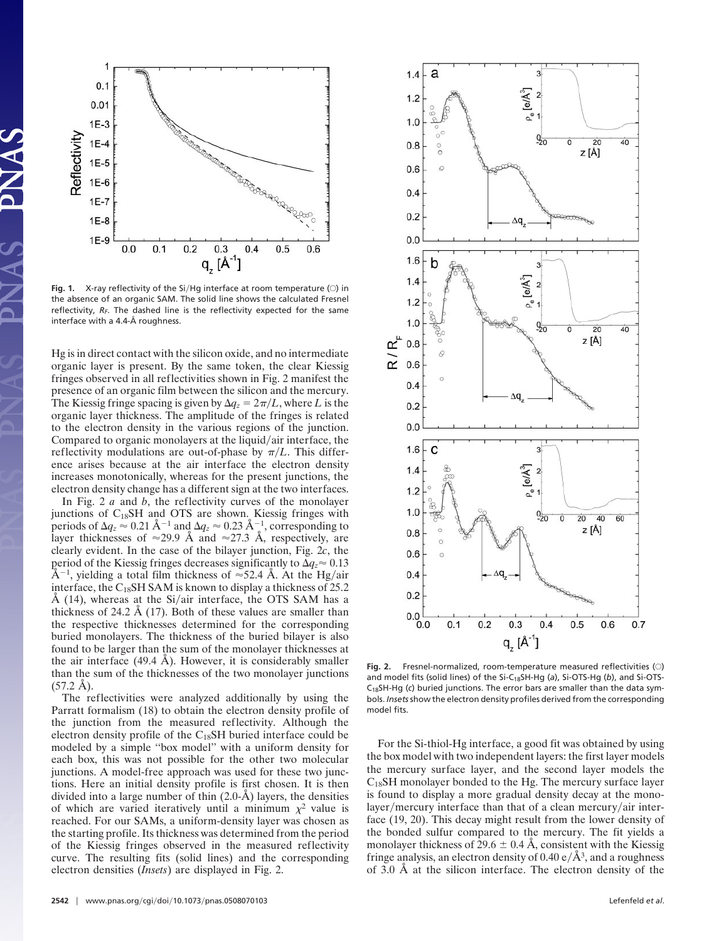

Fig. 1. X-ray reflectivity of the Si/Hg interface at room temperature (O) in the absence of an organic SAM. The solid line shows the calculated Fresnel reflectivity, R<sub>F</sub>. The dashed line is the reflectivity expected for the same interface with a 4.4-Å roughness.

Hg is in direct contact with the silicon oxide, and no intermediate organic layer is present. By the same token, the clear Kiessig fringes observed in all reflectivities shown in Fig. 2 manifest the presence of an organic film between the silicon and the mercury. The Kiessig fringe spacing is given by  $\Delta q_z = 2\pi/L$ , where *L* is the organic layer thickness. The amplitude of the fringes is related to the electron density in the various regions of the junction. Compared to organic monolayers at the liquid/air interface, the reflectivity modulations are out-of-phase by  $\pi/L$ . This difference arises because at the air interface the electron density increases monotonically, whereas for the present junctions, the electron density change has a different sign at the two interfaces.

In Fig. 2 *a* and *b*, the reflectivity curves of the monolayer junctions of  $C_{18}SH$  and OTS are shown. Kiessig fringes with periods of  $\Delta q_z \approx 0.21 \text{ Å}^{-1}$  and  $\Delta q_z \approx 0.23 \text{ Å}^{-1}$ , corresponding to layer thicknesses of  $\approx$ 29.9 Å and  $\approx$ 27.3 Å, respectively, are clearly evident. In the case of the bilayer junction, Fig. 2*c*, the period of the Kiessig fringes decreases significantly to  $\Delta q_z \approx 0.13$  $\rm \AA^{-1}$ , yielding a total film thickness of  $\approx$ 52.4 Å. At the Hg/air interface, the  $C_{18}$ SH SAM is known to display a thickness of 25.2  $\AA$  (14), whereas at the Si/air interface, the OTS SAM has a thickness of 24.2 Å (17). Both of these values are smaller than the respective thicknesses determined for the corresponding buried monolayers. The thickness of the buried bilayer is also found to be larger than the sum of the monolayer thicknesses at the air interface (49.4 Å). However, it is considerably smaller than the sum of the thicknesses of the two monolayer junctions  $(57.2 \text{ Å})$ .

The reflectivities were analyzed additionally by using the Parratt formalism (18) to obtain the electron density profile of the junction from the measured reflectivity. Although the electron density profile of the C<sub>18</sub>SH buried interface could be modeled by a simple ''box model'' with a uniform density for each box, this was not possible for the other two molecular junctions. A model-free approach was used for these two junctions. Here an initial density profile is first chosen. It is then divided into a large number of thin (2.0-Å) layers, the densities of which are varied iteratively until a minimum  $\chi^2$  value is reached. For our SAMs, a uniform-density layer was chosen as the starting profile. Its thickness was determined from the period of the Kiessig fringes observed in the measured reflectivity curve. The resulting fits (solid lines) and the corresponding electron densities (*Insets*) are displayed in Fig. 2.



Fig. 2. Fresnel-normalized, room-temperature measured reflectivities (O) and model fits (solid lines) of the Si-C18SH-Hg (*a*), Si-OTS-Hg (*b*), and Si-OTS-C18SH-Hg (*c*) buried junctions. The error bars are smaller than the data symbols. *Insets*show the electron density profiles derived from the corresponding model fits.

For the Si-thiol-Hg interface, a good fit was obtained by using the box model with two independent layers: the first layer models the mercury surface layer, and the second layer models the C18SH monolayer bonded to the Hg. The mercury surface layer is found to display a more gradual density decay at the monolayer/mercury interface than that of a clean mercury/air interface (19, 20). This decay might result from the lower density of the bonded sulfur compared to the mercury. The fit yields a monolayer thickness of 29.6  $\pm$  0.4 Å, consistent with the Kiessig fringe analysis, an electron density of  $0.40 \text{ e}/\text{\AA}^3$ , and a roughness of 3.0 Å at the silicon interface. The electron density of the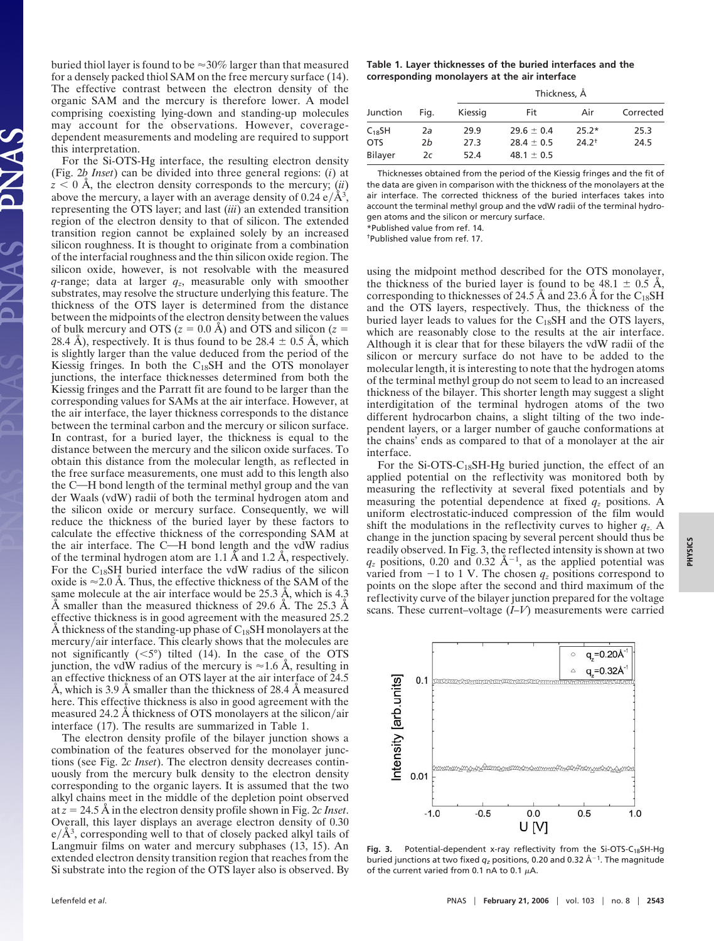buried thiol layer is found to be  $\approx 30\%$  larger than that measured for a densely packed thiol SAM on the free mercury surface (14). The effective contrast between the electron density of the organic SAM and the mercury is therefore lower. A model comprising coexisting lying-down and standing-up molecules may account for the observations. However, coveragedependent measurements and modeling are required to support this interpretation.

For the Si-OTS-Hg interface, the resulting electron density (Fig. 2*b Inset*) can be divided into three general regions: (*i*) at  $z < 0$  Å, the electron density corresponds to the mercury; *(ii)* above the mercury, a layer with an average density of  $0.24 \text{ e}/\text{\AA}^3$ , representing the OTS layer; and last (*iii*) an extended transition region of the electron density to that of silicon. The extended transition region cannot be explained solely by an increased silicon roughness. It is thought to originate from a combination of the interfacial roughness and the thin silicon oxide region. The silicon oxide, however, is not resolvable with the measured  $q$ -range; data at larger  $q_z$ , measurable only with smoother substrates, may resolve the structure underlying this feature. The thickness of the OTS layer is determined from the distance between the midpoints of the electron density between the values of bulk mercury and OTS ( $z = 0.0$  Å) and OTS and silicon ( $z =$ 28.4 Å), respectively. It is thus found to be 28.4  $\pm$  0.5 Å, which is slightly larger than the value deduced from the period of the Kiessig fringes. In both the  $C_{18}SH$  and the OTS monolayer junctions, the interface thicknesses determined from both the Kiessig fringes and the Parratt fit are found to be larger than the corresponding values for SAMs at the air interface. However, at the air interface, the layer thickness corresponds to the distance between the terminal carbon and the mercury or silicon surface. In contrast, for a buried layer, the thickness is equal to the distance between the mercury and the silicon oxide surfaces. To obtain this distance from the molecular length, as reflected in the free surface measurements, one must add to this length also the C—H bond length of the terminal methyl group and the van der Waals (vdW) radii of both the terminal hydrogen atom and the silicon oxide or mercury surface. Consequently, we will reduce the thickness of the buried layer by these factors to calculate the effective thickness of the corresponding SAM at the air interface. The C-H bond length and the vdW radius of the terminal hydrogen atom are 1.1 Å and 1.2 Å, respectively. For the  $C_{18}$ SH buried interface the vdW radius of the silicon oxide is  $\approx$  2.0 Å. Thus, the effective thickness of the SAM of the same molecule at the air interface would be 25.3 Å, which is 4.3 Å smaller than the measured thickness of 29.6 Å. The 25.3 Å effective thickness is in good agreement with the measured 25.2 Å thickness of the standing-up phase of  $C_{18}SH$  monolayers at the  $mercury/air$  interface. This clearly shows that the molecules are not significantly  $( $5^{\circ}$ )$  tilted (14). In the case of the OTS junction, the vdW radius of the mercury is  $\approx 1.6$  Å, resulting in an effective thickness of an OTS layer at the air interface of 24.5 Å, which is 3.9 Å smaller than the thickness of 28.4 Å measured here. This effective thickness is also in good agreement with the measured 24.2 Å thickness of OTS monolayers at the silicon/air interface (17). The results are summarized in Table 1.

The electron density profile of the bilayer junction shows a combination of the features observed for the monolayer junctions (see Fig. 2*c Inset*). The electron density decreases continuously from the mercury bulk density to the electron density corresponding to the organic layers. It is assumed that the two alkyl chains meet in the middle of the depletion point observed at  $z = 24.5$  Å in the electron density profile shown in Fig. 2*c Inset*. Overall, this layer displays an average electron density of 0.30  $e/\overline{A}^3$ , corresponding well to that of closely packed alkyl tails of Langmuir films on water and mercury subphases (13, 15). An extended electron density transition region that reaches from the Si substrate into the region of the OTS layer also is observed. By

## **Table 1. Layer thicknesses of the buried interfaces and the corresponding monolayers at the air interface**

| Thickness, A |  |
|--------------|--|
|--------------|--|

| Junction    | Fia. | <b>IIIILKIILISS</b> , A |                |            |           |
|-------------|------|-------------------------|----------------|------------|-----------|
|             |      | Kiessig                 | Fit            | Air        | Corrected |
| $C_{18}$ SH | 2a   | 29.9                    | $29.6 \pm 0.4$ | $25.2*$    | 25.3      |
| <b>OTS</b>  | 2b   | 27.3                    | $28.4 \pm 0.5$ | $24.2^{+}$ | 24.5      |
| Bilayer     | 2c   | 52.4                    | $48.1 \pm 0.5$ |            |           |

Thicknesses obtained from the period of the Kiessig fringes and the fit of the data are given in comparison with the thickness of the monolayers at the air interface. The corrected thickness of the buried interfaces takes into account the terminal methyl group and the vdW radii of the terminal hydrogen atoms and the silicon or mercury surface. \*Published value from ref. 14.

†Published value from ref. 17.

using the midpoint method described for the OTS monolayer, the thickness of the buried layer is found to be  $48.1 \pm 0.5$  Å, corresponding to thicknesses of 24.5 Å and 23.6 Å for the  $C_{18}SH$ and the OTS layers, respectively. Thus, the thickness of the buried layer leads to values for the  $C_{18}SH$  and the OTS layers, which are reasonably close to the results at the air interface. Although it is clear that for these bilayers the vdW radii of the silicon or mercury surface do not have to be added to the molecular length, it is interesting to note that the hydrogen atoms of the terminal methyl group do not seem to lead to an increased thickness of the bilayer. This shorter length may suggest a slight interdigitation of the terminal hydrogen atoms of the two different hydrocarbon chains, a slight tilting of the two independent layers, or a larger number of gauche conformations at the chains' ends as compared to that of a monolayer at the air interface.

For the Si-OTS- $C_{18}$ SH-Hg buried junction, the effect of an applied potential on the reflectivity was monitored both by measuring the reflectivity at several fixed potentials and by measuring the potential dependence at fixed  $q_z$  positions. A uniform electrostatic-induced compression of the film would shift the modulations in the reflectivity curves to higher  $q_z$ . A change in the junction spacing by several percent should thus be readily observed. In Fig. 3, the reflected intensity is shown at two  $q_z$  positions, 0.20 and 0.32  $\AA^{-1}$ , as the applied potential was varied from  $-1$  to 1 V. The chosen  $q_z$  positions correspond to points on the slope after the second and third maximum of the reflectivity curve of the bilayer junction prepared for the voltage scans. These current–voltage (*I–V*) measurements were carried



Fig. 3. Potential-dependent x-ray reflectivity from the Si-OTS-C<sub>18</sub>SH-Hg buried junctions at two fixed  $q_z$  positions, 0.20 and 0.32  $\rm \AA^{-1}.$  The magnitude of the current varied from 0.1 nA to 0.1  $\mu$ A.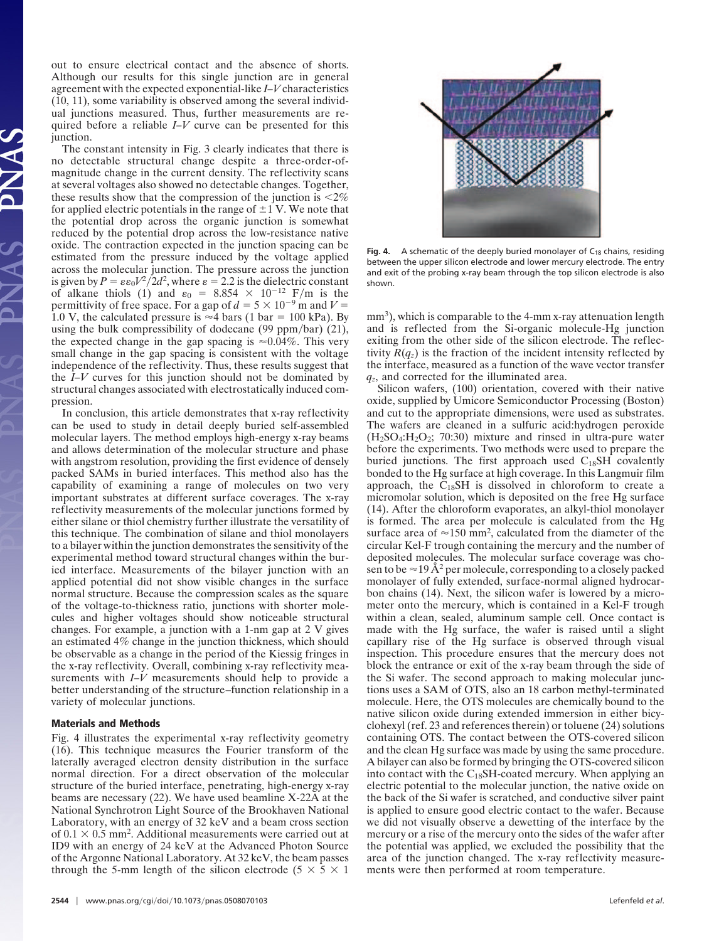out to ensure electrical contact and the absence of shorts. Although our results for this single junction are in general agreement with the expected exponential-like *I–V* characteristics (10, 11), some variability is observed among the several individual junctions measured. Thus, further measurements are required before a reliable *I–V* curve can be presented for this junction.

The constant intensity in Fig. 3 clearly indicates that there is no detectable structural change despite a three-order-ofmagnitude change in the current density. The reflectivity scans at several voltages also showed no detectable changes. Together, these results show that the compression of the junction is  $\langle 2\% \rangle$ for applied electric potentials in the range of  $\pm 1$  V. We note that the potential drop across the organic junction is somewhat reduced by the potential drop across the low-resistance native oxide. The contraction expected in the junction spacing can be estimated from the pressure induced by the voltage applied across the molecular junction. The pressure across the junction is given by  $P = \varepsilon \varepsilon_0 V^2 / 2d^2$ , where  $\varepsilon = 2.2$  is the dielectric constant of alkane thiols (1) and  $\varepsilon_0 = 8.854 \times 10^{-12}$  F/m is the permittivity of free space. For a gap of  $d = 5 \times 10^{-9}$  m and  $V =$ 1.0 V, the calculated pressure is  $\approx$  4 bars (1 bar = 100 kPa). By using the bulk compressibility of dodecane  $(99 \text{ ppm/bar})$   $(21)$ , the expected change in the gap spacing is  $\approx 0.04\%$ . This very small change in the gap spacing is consistent with the voltage independence of the reflectivity. Thus, these results suggest that the *I–V* curves for this junction should not be dominated by structural changes associated with electrostatically induced compression.

In conclusion, this article demonstrates that x-ray reflectivity can be used to study in detail deeply buried self-assembled molecular layers. The method employs high-energy x-ray beams and allows determination of the molecular structure and phase with angstrom resolution, providing the first evidence of densely packed SAMs in buried interfaces. This method also has the capability of examining a range of molecules on two very important substrates at different surface coverages. The x-ray reflectivity measurements of the molecular junctions formed by either silane or thiol chemistry further illustrate the versatility of this technique. The combination of silane and thiol monolayers to a bilayer within the junction demonstrates the sensitivity of the experimental method toward structural changes within the buried interface. Measurements of the bilayer junction with an applied potential did not show visible changes in the surface normal structure. Because the compression scales as the square of the voltage-to-thickness ratio, junctions with shorter molecules and higher voltages should show noticeable structural changes. For example, a junction with a 1-nm gap at 2 V gives an estimated 4% change in the junction thickness, which should be observable as a change in the period of the Kiessig fringes in the x-ray reflectivity. Overall, combining x-ray reflectivity measurements with *I–V* measurements should help to provide a better understanding of the structure–function relationship in a variety of molecular junctions.

## **Materials and Methods**

Fig. 4 illustrates the experimental x-ray reflectivity geometry (16). This technique measures the Fourier transform of the laterally averaged electron density distribution in the surface normal direction. For a direct observation of the molecular structure of the buried interface, penetrating, high-energy x-ray beams are necessary (22). We have used beamline X-22A at the National Synchrotron Light Source of the Brookhaven National Laboratory, with an energy of 32 keV and a beam cross section of  $0.1 \times 0.5$  mm<sup>2</sup>. Additional measurements were carried out at ID9 with an energy of 24 keV at the Advanced Photon Source of the Argonne National Laboratory. At 32 keV, the beam passes through the 5-mm length of the silicon electrode (5  $\times$  5  $\times$  1



**Fig. 4.** A schematic of the deeply buried monolayer of  $C_{18}$  chains, residing between the upper silicon electrode and lower mercury electrode. The entry and exit of the probing x-ray beam through the top silicon electrode is also shown.

mm<sup>3</sup>), which is comparable to the 4-mm x-ray attenuation length and is reflected from the Si-organic molecule-Hg junction exiting from the other side of the silicon electrode. The reflectivity  $R(q_z)$  is the fraction of the incident intensity reflected by the interface, measured as a function of the wave vector transfer *qz*, and corrected for the illuminated area.

Silicon wafers, (100) orientation, covered with their native oxide, supplied by Umicore Semiconductor Processing (Boston) and cut to the appropriate dimensions, were used as substrates. The wafers are cleaned in a sulfuric acid:hydrogen peroxide  $(H<sub>2</sub>SO<sub>4</sub>:H<sub>2</sub>O<sub>2</sub>; 70:30)$  mixture and rinsed in ultra-pure water before the experiments. Two methods were used to prepare the buried junctions. The first approach used  $C_{18}SH$  covalently bonded to the Hg surface at high coverage. In this Langmuir film approach, the  $C_{18}SH$  is dissolved in chloroform to create a micromolar solution, which is deposited on the free Hg surface (14). After the chloroform evaporates, an alkyl-thiol monolayer is formed. The area per molecule is calculated from the Hg surface area of  $\approx 150$  mm<sup>2</sup>, calculated from the diameter of the circular Kel-F trough containing the mercury and the number of deposited molecules. The molecular surface coverage was chosen to be  $\approx$  19 Å<sup>2</sup> per molecule, corresponding to a closely packed monolayer of fully extended, surface-normal aligned hydrocarbon chains (14). Next, the silicon wafer is lowered by a micrometer onto the mercury, which is contained in a Kel-F trough within a clean, sealed, aluminum sample cell. Once contact is made with the Hg surface, the wafer is raised until a slight capillary rise of the Hg surface is observed through visual inspection. This procedure ensures that the mercury does not block the entrance or exit of the x-ray beam through the side of the Si wafer. The second approach to making molecular junctions uses a SAM of OTS, also an 18 carbon methyl-terminated molecule. Here, the OTS molecules are chemically bound to the native silicon oxide during extended immersion in either bicyclohexyl (ref. 23 and references therein) or toluene (24) solutions containing OTS. The contact between the OTS-covered silicon and the clean Hg surface was made by using the same procedure. A bilayer can also be formed by bringing the OTS-covered silicon into contact with the  $C_{18}$ SH-coated mercury. When applying an electric potential to the molecular junction, the native oxide on the back of the Si wafer is scratched, and conductive silver paint is applied to ensure good electric contact to the wafer. Because we did not visually observe a dewetting of the interface by the mercury or a rise of the mercury onto the sides of the wafer after the potential was applied, we excluded the possibility that the area of the junction changed. The x-ray reflectivity measurements were then performed at room temperature.